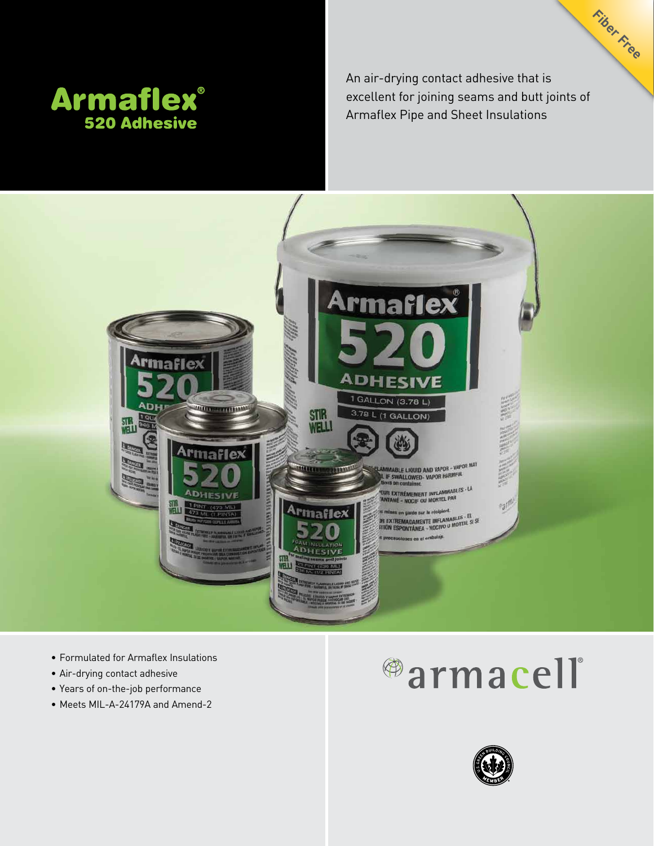

An air-drying contact adhesive that is excellent for joining seams and butt joints of Armaflex Pipe and Sheet Insulations

**Fiber Free**



- • Formulated for Armaflex Insulations
- • Air-drying contact adhesive
- • Years of on-the-job performance
- Meets MIL-A-24179A and Amend-2